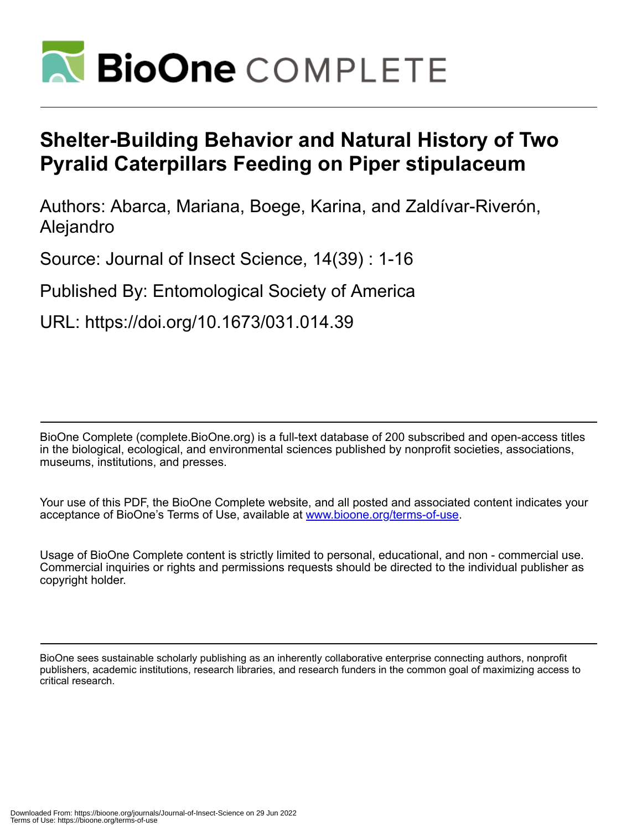

# **Shelter-Building Behavior and Natural History of Two Pyralid Caterpillars Feeding on Piper stipulaceum**

Authors: Abarca, Mariana, Boege, Karina, and Zaldívar-Riverón, Alejandro

Source: Journal of Insect Science, 14(39) : 1-16

Published By: Entomological Society of America

URL: https://doi.org/10.1673/031.014.39

BioOne Complete (complete.BioOne.org) is a full-text database of 200 subscribed and open-access titles in the biological, ecological, and environmental sciences published by nonprofit societies, associations, museums, institutions, and presses.

Your use of this PDF, the BioOne Complete website, and all posted and associated content indicates your acceptance of BioOne's Terms of Use, available at www.bioone.org/terms-of-use.

Usage of BioOne Complete content is strictly limited to personal, educational, and non - commercial use. Commercial inquiries or rights and permissions requests should be directed to the individual publisher as copyright holder.

BioOne sees sustainable scholarly publishing as an inherently collaborative enterprise connecting authors, nonprofit publishers, academic institutions, research libraries, and research funders in the common goal of maximizing access to critical research.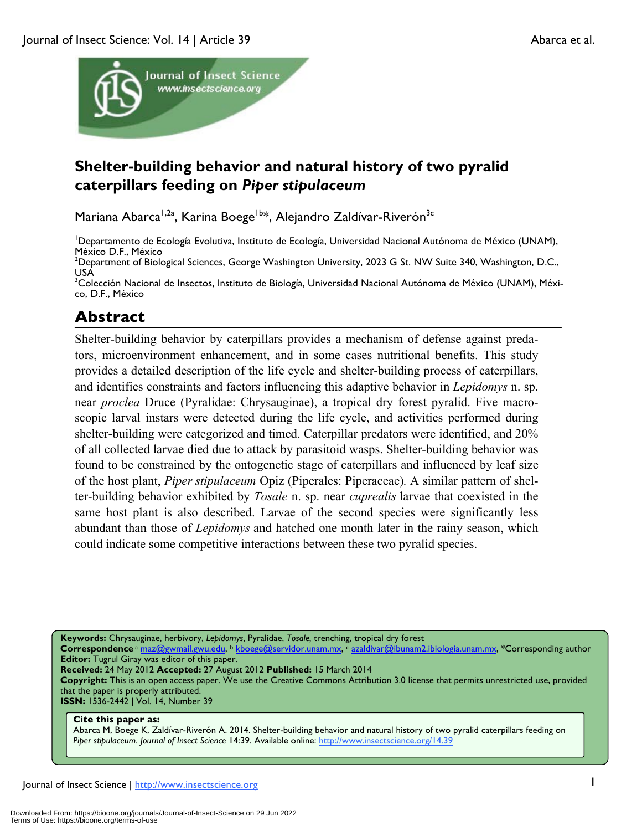

# **Shelter-building behavior and natural history of two pyralid caterpillars feeding on** *Piper stipulaceum*

Mariana Abarca<sup>1,2a</sup>, Karina Boege<sup>1b\*</sup>, Alejandro Zaldívar-Riverón<sup>3c</sup>

<sup>I</sup>Departamento de Ecología Evolutiva, Instituto de Ecología, Universidad Nacional Autónoma de México (UNAM), México D.F., México

 $^2$ Department of Biological Sciences, George Washington University, 2023 G St. NW Suite 340, Washington, D.C., USA

<sup>3</sup>Colección Nacional de Insectos, Instituto de Biología, Universidad Nacional Autónoma de México (UNAM), México, D.F., México

# **Abstract**

Shelter-building behavior by caterpillars provides a mechanism of defense against predators, microenvironment enhancement, and in some cases nutritional benefits. This study provides a detailed description of the life cycle and shelter-building process of caterpillars, and identifies constraints and factors influencing this adaptive behavior in *Lepidomys* n. sp. near *proclea* Druce (Pyralidae: Chrysauginae), a tropical dry forest pyralid. Five macroscopic larval instars were detected during the life cycle, and activities performed during shelter-building were categorized and timed. Caterpillar predators were identified, and 20% of all collected larvae died due to attack by parasitoid wasps. Shelter-building behavior was found to be constrained by the ontogenetic stage of caterpillars and influenced by leaf size of the host plant, *Piper stipulaceum* Opiz (Piperales: Piperaceae)*.* A similar pattern of shelter-building behavior exhibited by *Tosale* n. sp. near *cuprealis* larvae that coexisted in the same host plant is also described. Larvae of the second species were significantly less abundant than those of *Lepidomys* and hatched one month later in the rainy season, which could indicate some competitive interactions between these two pyralid species.

**Keywords:** Chrysauginae, herbivory, *Lepidomys*, Pyralidae, *Tosale,* trenching, tropical dry forest

**Correspondence** <sup>a</sup> maz@gwmail.gwu.edu, b kboege@servidor.unam.mx, c azaldivar@ibunam2.ibiologia.unam.mx, \*Corresponding author **Editor:** Tugrul Giray was editor of this paper.

**Received:** 24 May 2012 **Accepted:** 27 August 2012 **Published:** 15 March 2014

**Copyright:** This is an open access paper. We use the Creative Commons Attribution 3.0 license that permits unrestricted use, provided that the paper is properly attributed.

**ISSN:** 1536-2442 | Vol. 14, Number 39

#### **Cite this paper as:**

Abarca M, Boege K, Zaldívar-Riverón A. 2014. Shelter-building behavior and natural history of two pyralid caterpillars feeding on *Piper stipulaceum*. *Journal of Insect Science* 14:39. Available online: http://www.insectscience.org/14.39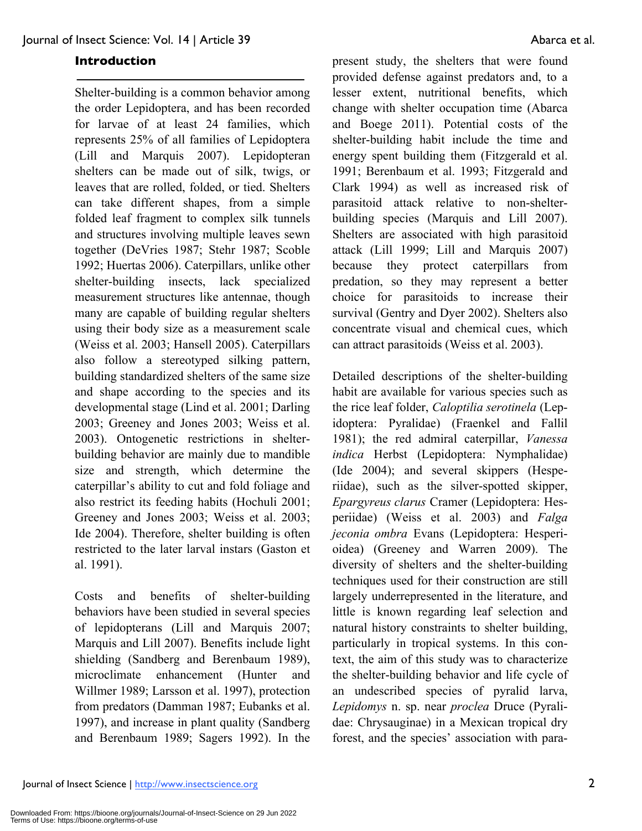#### **Introduction**

Shelter-building is a common behavior among the order Lepidoptera, and has been recorded for larvae of at least 24 families, which represents 25% of all families of Lepidoptera (Lill and Marquis 2007). Lepidopteran shelters can be made out of silk, twigs, or leaves that are rolled, folded, or tied. Shelters can take different shapes, from a simple folded leaf fragment to complex silk tunnels and structures involving multiple leaves sewn together (DeVries 1987; Stehr 1987; Scoble 1992; Huertas 2006). Caterpillars, unlike other shelter-building insects, lack specialized measurement structures like antennae, though many are capable of building regular shelters using their body size as a measurement scale (Weiss et al. 2003; Hansell 2005). Caterpillars also follow a stereotyped silking pattern, building standardized shelters of the same size and shape according to the species and its developmental stage (Lind et al. 2001; Darling 2003; Greeney and Jones 2003; Weiss et al. 2003). Ontogenetic restrictions in shelterbuilding behavior are mainly due to mandible size and strength, which determine the caterpillar's ability to cut and fold foliage and also restrict its feeding habits (Hochuli 2001; Greeney and Jones 2003; Weiss et al. 2003; Ide 2004). Therefore, shelter building is often restricted to the later larval instars (Gaston et al. 1991).

Costs and benefits of shelter-building behaviors have been studied in several species of lepidopterans (Lill and Marquis 2007; Marquis and Lill 2007). Benefits include light shielding (Sandberg and Berenbaum 1989), microclimate enhancement (Hunter and Willmer 1989; Larsson et al. 1997), protection from predators (Damman 1987; Eubanks et al. 1997), and increase in plant quality (Sandberg and Berenbaum 1989; Sagers 1992). In the

present study, the shelters that were found provided defense against predators and, to a lesser extent, nutritional benefits, which change with shelter occupation time (Abarca and Boege 2011). Potential costs of the shelter-building habit include the time and energy spent building them (Fitzgerald et al. 1991; Berenbaum et al. 1993; Fitzgerald and Clark 1994) as well as increased risk of parasitoid attack relative to non-shelterbuilding species (Marquis and Lill 2007). Shelters are associated with high parasitoid attack (Lill 1999; Lill and Marquis 2007) because they protect caterpillars from predation, so they may represent a better choice for parasitoids to increase their survival (Gentry and Dyer 2002). Shelters also concentrate visual and chemical cues, which can attract parasitoids (Weiss et al. 2003).

Detailed descriptions of the shelter-building habit are available for various species such as the rice leaf folder, *Caloptilia serotinela* (Lepidoptera: Pyralidae) (Fraenkel and Fallil 1981); the red admiral caterpillar, *Vanessa indica* Herbst (Lepidoptera: Nymphalidae) (Ide 2004); and several skippers (Hesperiidae), such as the silver-spotted skipper, *Epargyreus clarus* Cramer (Lepidoptera: Hesperiidae) (Weiss et al. 2003) and *Falga jeconia ombra* Evans (Lepidoptera: Hesperioidea) (Greeney and Warren 2009). The diversity of shelters and the shelter-building techniques used for their construction are still largely underrepresented in the literature, and little is known regarding leaf selection and natural history constraints to shelter building, particularly in tropical systems. In this context, the aim of this study was to characterize the shelter-building behavior and life cycle of an undescribed species of pyralid larva, *Lepidomys* n. sp. near *proclea* Druce (Pyralidae: Chrysauginae) in a Mexican tropical dry forest, and the species' association with para-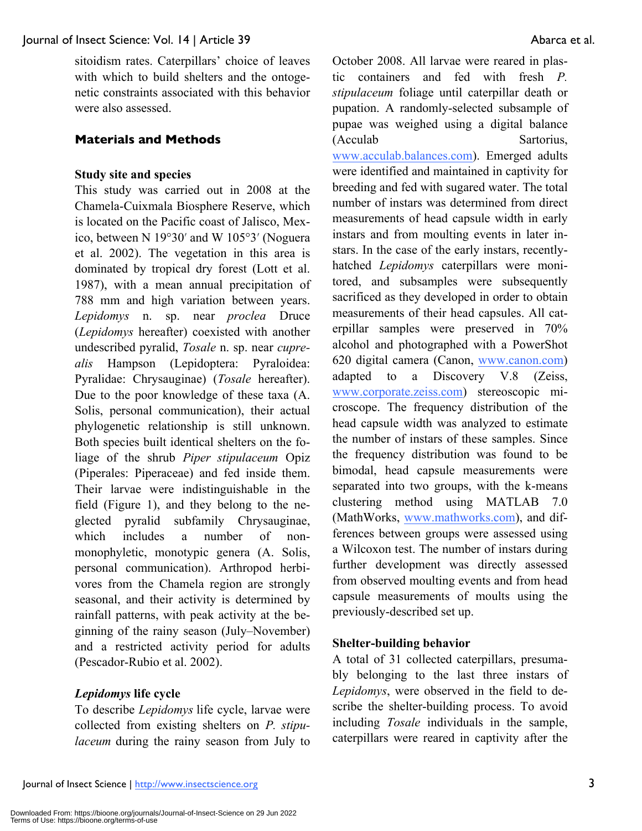sitoidism rates. Caterpillars' choice of leaves with which to build shelters and the ontogenetic constraints associated with this behavior were also assessed.

#### **Materials and Methods**

#### **Study site and species**

This study was carried out in 2008 at the Chamela-Cuixmala Biosphere Reserve, which is located on the Pacific coast of Jalisco, Mexico, between N 19°30′ and W 105°3′ (Noguera et al. 2002). The vegetation in this area is dominated by tropical dry forest (Lott et al. 1987), with a mean annual precipitation of 788 mm and high variation between years. *Lepidomys* n. sp. near *proclea* Druce (*Lepidomys* hereafter) coexisted with another undescribed pyralid, *Tosale* n. sp. near *cuprealis* Hampson (Lepidoptera: Pyraloidea: Pyralidae: Chrysauginae) (*Tosale* hereafter). Due to the poor knowledge of these taxa (A. Solis, personal communication), their actual phylogenetic relationship is still unknown. Both species built identical shelters on the foliage of the shrub *Piper stipulaceum* Opiz (Piperales: Piperaceae) and fed inside them. Their larvae were indistinguishable in the field (Figure 1), and they belong to the neglected pyralid subfamily Chrysauginae, which includes a number of nonmonophyletic, monotypic genera (A. Solis, personal communication). Arthropod herbivores from the Chamela region are strongly seasonal, and their activity is determined by rainfall patterns, with peak activity at the beginning of the rainy season (July–November) and a restricted activity period for adults (Pescador-Rubio et al. 2002).

# *Lepidomys* **life cycle**

To describe *Lepidomys* life cycle, larvae were collected from existing shelters on *P. stipulaceum* during the rainy season from July to October 2008. All larvae were reared in plastic containers and fed with fresh *P. stipulaceum* foliage until caterpillar death or pupation. A randomly-selected subsample of pupae was weighed using a digital balance (Acculab Sartorius, www.acculab.balances.com). Emerged adults were identified and maintained in captivity for breeding and fed with sugared water. The total number of instars was determined from direct measurements of head capsule width in early instars and from moulting events in later instars. In the case of the early instars, recentlyhatched *Lepidomys* caterpillars were monitored, and subsamples were subsequently sacrificed as they developed in order to obtain measurements of their head capsules. All caterpillar samples were preserved in 70% alcohol and photographed with a PowerShot 620 digital camera (Canon, www.canon.com) adapted to a Discovery V.8 (Zeiss, www.corporate.zeiss.com) stereoscopic microscope. The frequency distribution of the head capsule width was analyzed to estimate the number of instars of these samples. Since the frequency distribution was found to be bimodal, head capsule measurements were separated into two groups, with the k-means clustering method using MATLAB 7.0 (MathWorks, www.mathworks.com), and differences between groups were assessed using a Wilcoxon test. The number of instars during further development was directly assessed from observed moulting events and from head capsule measurements of moults using the previously-described set up.

#### **Shelter-building behavior**

A total of 31 collected caterpillars, presumably belonging to the last three instars of *Lepidomys*, were observed in the field to describe the shelter-building process. To avoid including *Tosale* individuals in the sample, caterpillars were reared in captivity after the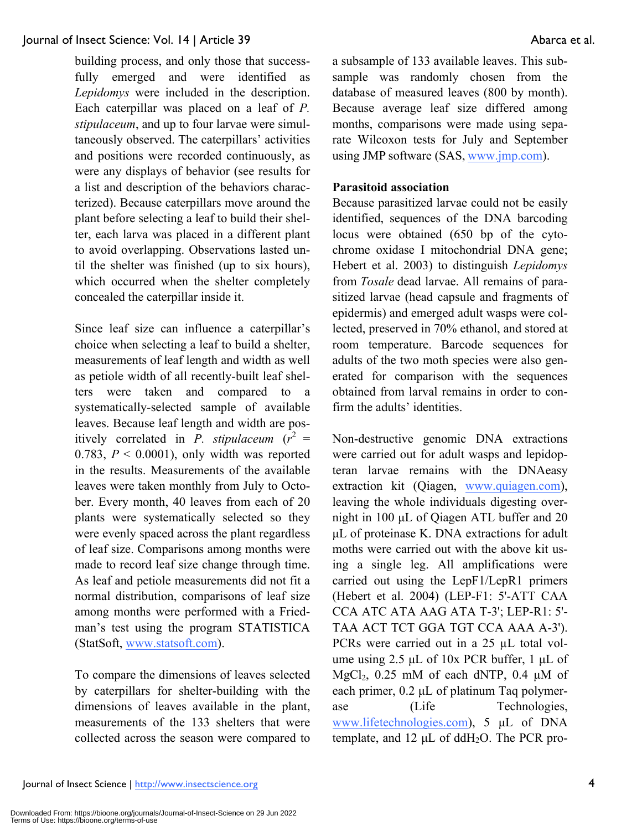building process, and only those that successfully emerged and were identified as *Lepidomys* were included in the description. Each caterpillar was placed on a leaf of *P. stipulaceum*, and up to four larvae were simultaneously observed. The caterpillars' activities and positions were recorded continuously, as were any displays of behavior (see results for a list and description of the behaviors characterized). Because caterpillars move around the plant before selecting a leaf to build their shelter, each larva was placed in a different plant to avoid overlapping. Observations lasted until the shelter was finished (up to six hours), which occurred when the shelter completely concealed the caterpillar inside it.

Since leaf size can influence a caterpillar's choice when selecting a leaf to build a shelter, measurements of leaf length and width as well as petiole width of all recently-built leaf shelters were taken and compared to a systematically-selected sample of available leaves. Because leaf length and width are positively correlated in *P*. *stipulaceum*  $(r^2 =$ 0.783,  $P \le 0.0001$ ), only width was reported in the results. Measurements of the available leaves were taken monthly from July to October. Every month, 40 leaves from each of 20 plants were systematically selected so they were evenly spaced across the plant regardless of leaf size. Comparisons among months were made to record leaf size change through time. As leaf and petiole measurements did not fit a normal distribution, comparisons of leaf size among months were performed with a Friedman's test using the program STATISTICA (StatSoft, www.statsoft.com).

To compare the dimensions of leaves selected by caterpillars for shelter-building with the dimensions of leaves available in the plant, measurements of the 133 shelters that were collected across the season were compared to a subsample of 133 available leaves. This subsample was randomly chosen from the database of measured leaves (800 by month). Because average leaf size differed among months, comparisons were made using separate Wilcoxon tests for July and September using JMP software (SAS, www.jmp.com).

# **Parasitoid association**

Because parasitized larvae could not be easily identified, sequences of the DNA barcoding locus were obtained (650 bp of the cytochrome oxidase I mitochondrial DNA gene; Hebert et al. 2003) to distinguish *Lepidomys*  from *Tosale* dead larvae. All remains of parasitized larvae (head capsule and fragments of epidermis) and emerged adult wasps were collected, preserved in 70% ethanol, and stored at room temperature. Barcode sequences for adults of the two moth species were also generated for comparison with the sequences obtained from larval remains in order to confirm the adults' identities.

Non-destructive genomic DNA extractions were carried out for adult wasps and lepidopteran larvae remains with the DNAeasy extraction kit (Qiagen, www.quiagen.com), leaving the whole individuals digesting overnight in 100 µL of Qiagen ATL buffer and 20 µL of proteinase K. DNA extractions for adult moths were carried out with the above kit using a single leg. All amplifications were carried out using the LepF1/LepR1 primers (Hebert et al. 2004) (LEP-F1: 5'-ATT CAA CCA ATC ATA AAG ATA T-3'; LEP-R1: 5'- TAA ACT TCT GGA TGT CCA AAA A-3'). PCRs were carried out in a 25 µL total volume using  $2.5 \mu L$  of  $10x$  PCR buffer,  $1 \mu L$  of MgCl<sub>2</sub>,  $0.25$  mM of each dNTP,  $0.4 \mu M$  of each primer,  $0.2 \mu L$  of platinum Taq polymerase (Life Technologies, www.lifetechnologies.com), 5 µL of DNA template, and 12  $\mu$ L of ddH<sub>2</sub>O. The PCR pro-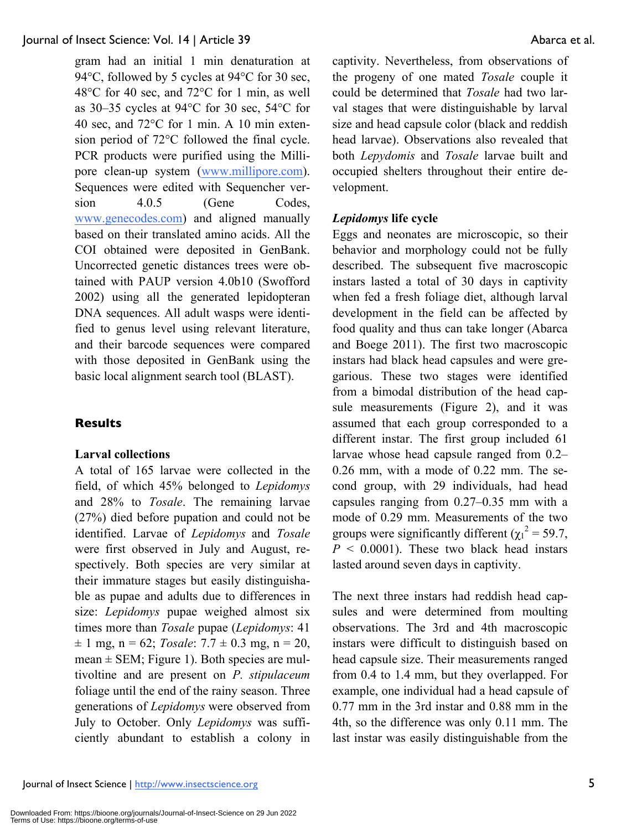gram had an initial 1 min denaturation at 94°C, followed by 5 cycles at 94°C for 30 sec, 48°C for 40 sec, and 72°C for 1 min, as well as 30–35 cycles at 94°C for 30 sec, 54°C for 40 sec, and 72°C for 1 min. A 10 min extension period of 72°C followed the final cycle. PCR products were purified using the Millipore clean-up system (www.millipore.com). Sequences were edited with Sequencher version 4.0.5 (Gene Codes, www.genecodes.com) and aligned manually based on their translated amino acids. All the COI obtained were deposited in GenBank. Uncorrected genetic distances trees were obtained with PAUP version 4.0b10 (Swofford 2002) using all the generated lepidopteran DNA sequences. All adult wasps were identified to genus level using relevant literature, and their barcode sequences were compared with those deposited in GenBank using the basic local alignment search tool (BLAST).

# **Results**

# **Larval collections**

A total of 165 larvae were collected in the field, of which 45% belonged to *Lepidomys* and 28% to *Tosale*. The remaining larvae (27%) died before pupation and could not be identified. Larvae of *Lepidomys* and *Tosale* were first observed in July and August, respectively. Both species are very similar at their immature stages but easily distinguishable as pupae and adults due to differences in size: *Lepidomys* pupae weighed almost six times more than *Tosale* pupae (*Lepidomys*: 41  $\pm$  1 mg, n = 62; *Tosale*: 7.7  $\pm$  0.3 mg, n = 20, mean  $\pm$  SEM; Figure 1). Both species are multivoltine and are present on *P. stipulaceum* foliage until the end of the rainy season. Three generations of *Lepidomys* were observed from July to October. Only *Lepidomys* was sufficiently abundant to establish a colony in

captivity. Nevertheless, from observations of the progeny of one mated *Tosale* couple it could be determined that *Tosale* had two larval stages that were distinguishable by larval size and head capsule color (black and reddish head larvae). Observations also revealed that both *Lepydomis* and *Tosale* larvae built and occupied shelters throughout their entire development.

# *Lepidomys* **life cycle**

Eggs and neonates are microscopic, so their behavior and morphology could not be fully described. The subsequent five macroscopic instars lasted a total of 30 days in captivity when fed a fresh foliage diet, although larval development in the field can be affected by food quality and thus can take longer (Abarca and Boege 2011). The first two macroscopic instars had black head capsules and were gregarious. These two stages were identified from a bimodal distribution of the head capsule measurements (Figure 2), and it was assumed that each group corresponded to a different instar. The first group included 61 larvae whose head capsule ranged from 0.2– 0.26 mm, with a mode of 0.22 mm. The second group, with 29 individuals, had head capsules ranging from 0.27–0.35 mm with a mode of 0.29 mm. Measurements of the two groups were significantly different  $(\chi_1^2 = 59.7)$ ,  $P \leq 0.0001$ . These two black head instars lasted around seven days in captivity.

The next three instars had reddish head capsules and were determined from moulting observations. The 3rd and 4th macroscopic instars were difficult to distinguish based on head capsule size. Their measurements ranged from 0.4 to 1.4 mm, but they overlapped. For example, one individual had a head capsule of 0.77 mm in the 3rd instar and 0.88 mm in the 4th, so the difference was only 0.11 mm. The last instar was easily distinguishable from the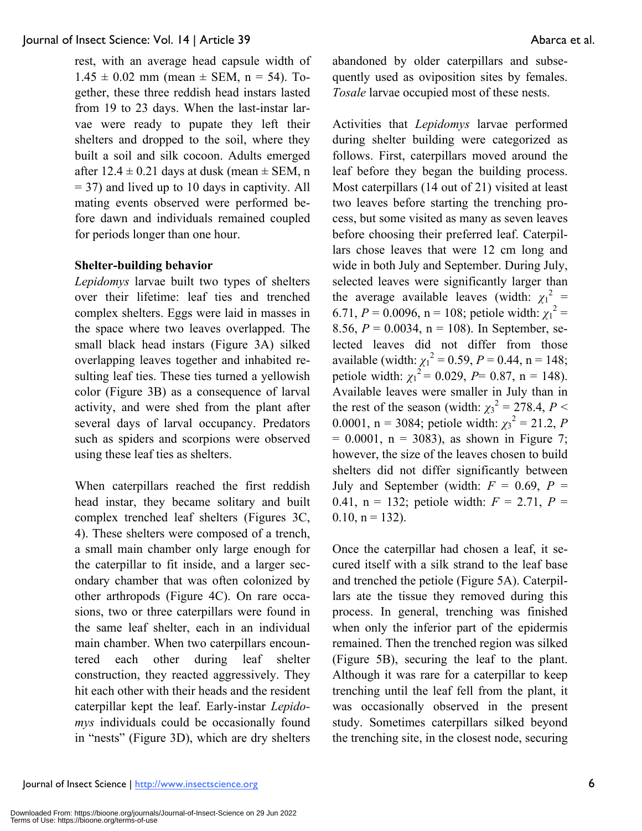rest, with an average head capsule width of  $1.45 \pm 0.02$  mm (mean  $\pm$  SEM, n = 54). Together, these three reddish head instars lasted from 19 to 23 days. When the last-instar larvae were ready to pupate they left their shelters and dropped to the soil, where they built a soil and silk cocoon. Adults emerged after  $12.4 \pm 0.21$  days at dusk (mean  $\pm$  SEM, n = 37) and lived up to 10 days in captivity. All mating events observed were performed before dawn and individuals remained coupled for periods longer than one hour.

# **Shelter-building behavior**

*Lepidomys* larvae built two types of shelters over their lifetime: leaf ties and trenched complex shelters. Eggs were laid in masses in the space where two leaves overlapped. The small black head instars (Figure 3A) silked overlapping leaves together and inhabited resulting leaf ties. These ties turned a yellowish color (Figure 3B) as a consequence of larval activity, and were shed from the plant after several days of larval occupancy. Predators such as spiders and scorpions were observed using these leaf ties as shelters.

When caterpillars reached the first reddish head instar, they became solitary and built complex trenched leaf shelters (Figures 3C, 4). These shelters were composed of a trench, a small main chamber only large enough for the caterpillar to fit inside, and a larger secondary chamber that was often colonized by other arthropods (Figure 4C). On rare occasions, two or three caterpillars were found in the same leaf shelter, each in an individual main chamber. When two caterpillars encountered each other during leaf shelter construction, they reacted aggressively. They hit each other with their heads and the resident caterpillar kept the leaf. Early-instar *Lepidomys* individuals could be occasionally found in "nests" (Figure 3D), which are dry shelters abandoned by older caterpillars and subsequently used as oviposition sites by females. *Tosale* larvae occupied most of these nests.

Activities that *Lepidomys* larvae performed during shelter building were categorized as follows. First, caterpillars moved around the leaf before they began the building process. Most caterpillars (14 out of 21) visited at least two leaves before starting the trenching process, but some visited as many as seven leaves before choosing their preferred leaf. Caterpillars chose leaves that were 12 cm long and wide in both July and September. During July, selected leaves were significantly larger than the average available leaves (width:  $\chi_1^2$  = 6.71,  $P = 0.0096$ ,  $n = 108$ ; petiole width:  $\chi_1^2 =$ 8.56, *P* = 0.0034, n = 108). In September, selected leaves did not differ from those available (width:  $\chi_1^2 = 0.59$ ,  $P = 0.44$ , n = 148; petiole width:  $\chi_1^2 = 0.029$ , *P*= 0.87, n = 148). Available leaves were smaller in July than in the rest of the season (width:  $\chi_3^2 = 278.4$ ,  $P <$ 0.0001, n = 3084; petiole width:  $\chi_3^2 = 21.2$ , *P*  $= 0.0001$ , n = 3083), as shown in Figure 7; however, the size of the leaves chosen to build shelters did not differ significantly between July and September (width:  $F = 0.69$ ,  $P =$ 0.41,  $n = 132$ ; petiole width:  $F = 2.71$ ,  $P =$  $0.10, n = 132$ .

Once the caterpillar had chosen a leaf, it secured itself with a silk strand to the leaf base and trenched the petiole (Figure 5A). Caterpillars ate the tissue they removed during this process. In general, trenching was finished when only the inferior part of the epidermis remained. Then the trenched region was silked (Figure 5B), securing the leaf to the plant. Although it was rare for a caterpillar to keep trenching until the leaf fell from the plant, it was occasionally observed in the present study. Sometimes caterpillars silked beyond the trenching site, in the closest node, securing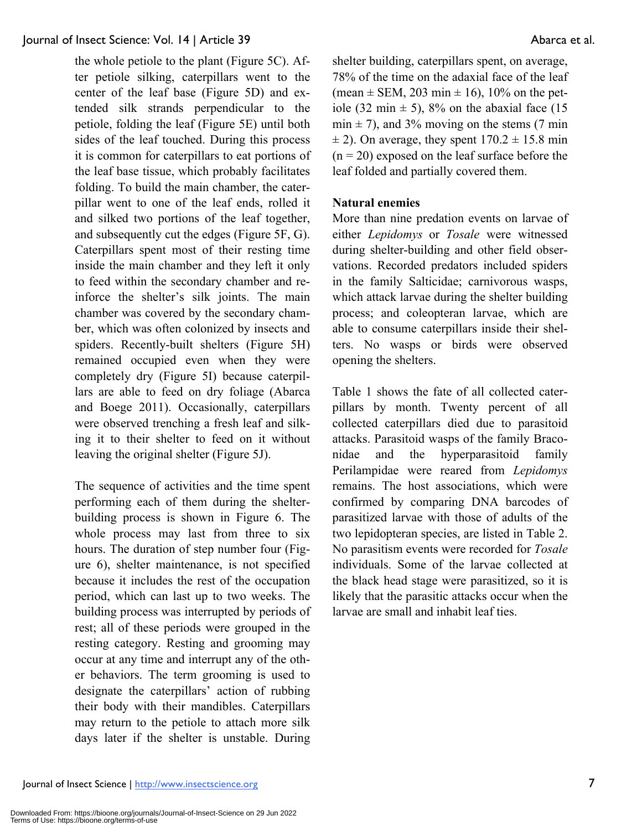the whole petiole to the plant (Figure 5C). After petiole silking, caterpillars went to the center of the leaf base (Figure 5D) and extended silk strands perpendicular to the petiole, folding the leaf (Figure 5E) until both sides of the leaf touched. During this process it is common for caterpillars to eat portions of the leaf base tissue, which probably facilitates folding. To build the main chamber, the caterpillar went to one of the leaf ends, rolled it and silked two portions of the leaf together, and subsequently cut the edges (Figure 5F, G). Caterpillars spent most of their resting time inside the main chamber and they left it only to feed within the secondary chamber and reinforce the shelter's silk joints. The main chamber was covered by the secondary chamber, which was often colonized by insects and spiders. Recently-built shelters (Figure 5H) remained occupied even when they were completely dry (Figure 5I) because caterpillars are able to feed on dry foliage (Abarca and Boege 2011). Occasionally, caterpillars were observed trenching a fresh leaf and silking it to their shelter to feed on it without leaving the original shelter (Figure 5J).

The sequence of activities and the time spent performing each of them during the shelterbuilding process is shown in Figure 6. The whole process may last from three to six hours. The duration of step number four (Figure 6), shelter maintenance, is not specified because it includes the rest of the occupation period, which can last up to two weeks. The building process was interrupted by periods of rest; all of these periods were grouped in the resting category. Resting and grooming may occur at any time and interrupt any of the other behaviors. The term grooming is used to designate the caterpillars' action of rubbing their body with their mandibles. Caterpillars may return to the petiole to attach more silk days later if the shelter is unstable. During shelter building, caterpillars spent, on average, 78% of the time on the adaxial face of the leaf (mean  $\pm$  SEM, 203 min  $\pm$  16), 10% on the petiole (32 min  $\pm$  5), 8% on the abaxial face (15  $min \pm 7$ ), and 3% moving on the stems (7 min  $\pm$  2). On average, they spent  $170.2 \pm 15.8$  min  $(n = 20)$  exposed on the leaf surface before the leaf folded and partially covered them.

# **Natural enemies**

More than nine predation events on larvae of either *Lepidomys* or *Tosale* were witnessed during shelter-building and other field observations. Recorded predators included spiders in the family Salticidae; carnivorous wasps, which attack larvae during the shelter building process; and coleopteran larvae, which are able to consume caterpillars inside their shelters. No wasps or birds were observed opening the shelters.

Table 1 shows the fate of all collected caterpillars by month. Twenty percent of all collected caterpillars died due to parasitoid attacks. Parasitoid wasps of the family Braconidae and the hyperparasitoid family Perilampidae were reared from *Lepidomys* remains. The host associations, which were confirmed by comparing DNA barcodes of parasitized larvae with those of adults of the two lepidopteran species, are listed in Table 2. No parasitism events were recorded for *Tosale* individuals. Some of the larvae collected at the black head stage were parasitized, so it is likely that the parasitic attacks occur when the larvae are small and inhabit leaf ties.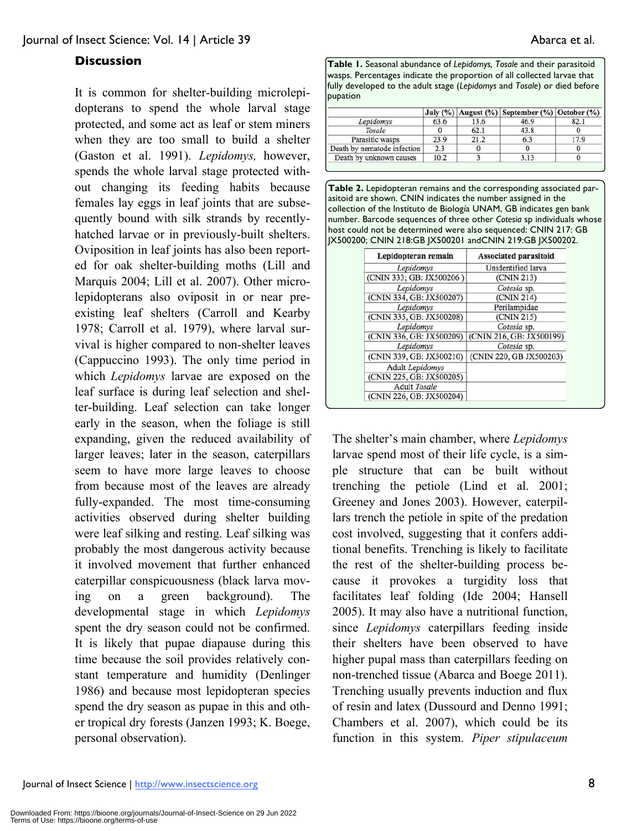# **Discussion**

It is common for shelter-building microlepidopterans to spend the whole larval stage protected, and some act as leaf or stem miners when they are too small to build a shelter (Gaston et al. 1991). *Lepidomys,* however, spends the whole larval stage protected without changing its feeding habits because females lay eggs in leaf joints that are subsequently bound with silk strands by recentlyhatched larvae or in previously-built shelters. Oviposition in leaf joints has also been reported for oak shelter-building moths (Lill and Marquis 2004; Lill et al. 2007). Other microlepidopterans also oviposit in or near preexisting leaf shelters (Carroll and Kearby 1978; Carroll et al. 1979), where larval survival is higher compared to non-shelter leaves (Cappuccino 1993). The only time period in which *Lepidomys* larvae are exposed on the leaf surface is during leaf selection and shelter-building. Leaf selection can take longer early in the season, when the foliage is still expanding, given the reduced availability of larger leaves; later in the season, caterpillars seem to have more large leaves to choose from because most of the leaves are already fully-expanded. The most time-consuming activities observed during shelter building were leaf silking and resting. Leaf silking was probably the most dangerous activity because it involved movement that further enhanced caterpillar conspicuousness (black larva moving on a green background). The developmental stage in which *Lepidomys* spent the dry season could not be confirmed. It is likely that pupae diapause during this time because the soil provides relatively constant temperature and humidity (Denlinger 1986) and because most lepidopteran species spend the dry season as pupae in this and other tropical dry forests (Janzen 1993; K. Boege, personal observation).

**Table 1.** Seasonal abundance of *Lepidomys, Tosale* and their parasitoid wasps. Percentages indicate the proportion of all collected larvae that fully developed to the adult stage (*Lepidomys* and *Tosale*) or died before pupation

|                             |      |      | July (%)   August (%)   September (%)   October (%) |      |
|-----------------------------|------|------|-----------------------------------------------------|------|
| Lepidomys                   | 63.6 | 13.6 | 46.9                                                | 82.1 |
| Tosale                      |      | 62.1 | 43.8                                                |      |
| Parasitic wasps             | 23.9 | 21.2 | 6.3                                                 | 17.9 |
| Death by nematode infection | 2.3  |      |                                                     |      |
| Death by unknown causes     | 10.2 |      | 3.13                                                |      |

**Table 2.** Lepidopteran remains and the corresponding associated parasitoid are shown. CNIN indicates the number assigned in the collection of the Instituto de Biología UNAM, GB indicates gen bank number. Barcode sequences of three other *Cotesia* sp individuals whose host could not be determined were also sequenced: CNIN 217: GB JX500200; CNIN 218:GB JX500201 andCNIN 219:GB JX500202.

| Lepidopteran remain      | <b>Associated parasitoid</b><br>Unidentified larva |  |
|--------------------------|----------------------------------------------------|--|
| Lepidomys                |                                                    |  |
| (CNIN 333; GB: JX500206) | (CNIN 213)                                         |  |
| Lepidomys                | Cotesia sp.                                        |  |
| (CNIN 334, GB: JX500207) | (CNIN 214)                                         |  |
| Lepidomys                | Perilampidae                                       |  |
| (CNIN 335, GB: JX500208) | (CNIN 215)                                         |  |
| Lepidomys                | Cotesia sp.                                        |  |
| (CNIN 336, GB: JX500209) | (CNIN 216, GB: JX500199)                           |  |
| Lepidomys                | Cotesia sp.                                        |  |
| (CNIN 339, GB: JX500210) | (CNIN 220, GB JX500203)                            |  |
| Adult Lepidomys          |                                                    |  |
| (CNIN 225, GB: JX500205) |                                                    |  |
| <b>Adult Tosale</b>      |                                                    |  |
| (CNIN 226, GB: JX500204) |                                                    |  |

The shelter's main chamber, where *Lepidomys* larvae spend most of their life cycle, is a simple structure that can be built without trenching the petiole (Lind et al. 2001; Greeney and Jones 2003). However, caterpillars trench the petiole in spite of the predation cost involved, suggesting that it confers additional benefits. Trenching is likely to facilitate the rest of the shelter-building process because it provokes a turgidity loss that facilitates leaf folding (Ide 2004; Hansell 2005). It may also have a nutritional function, since *Lepidomys* caterpillars feeding inside their shelters have been observed to have higher pupal mass than caterpillars feeding on non-trenched tissue (Abarca and Boege 2011). Trenching usually prevents induction and flux of resin and latex (Dussourd and Denno 1991; Chambers et al. 2007), which could be its function in this system. *Piper stipulaceum*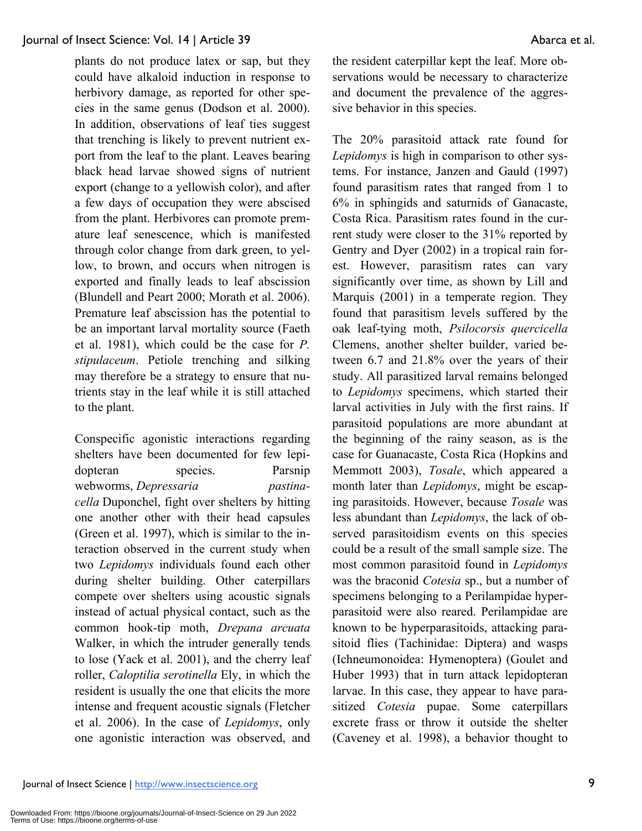plants do not produce latex or sap, but they could have alkaloid induction in response to herbivory damage, as reported for other species in the same genus (Dodson et al. 2000). In addition, observations of leaf ties suggest that trenching is likely to prevent nutrient export from the leaf to the plant. Leaves bearing black head larvae showed signs of nutrient export (change to a yellowish color), and after a few days of occupation they were abscised from the plant. Herbivores can promote premature leaf senescence, which is manifested through color change from dark green, to yellow, to brown, and occurs when nitrogen is exported and finally leads to leaf abscission (Blundell and Peart 2000; Morath et al. 2006). Premature leaf abscission has the potential to be an important larval mortality source (Faeth et al. 1981), which could be the case for *P. stipulaceum*. Petiole trenching and silking may therefore be a strategy to ensure that nutrients stay in the leaf while it is still attached to the plant.

Conspecific agonistic interactions regarding shelters have been documented for few lepidopteran species. Parsnip webworms, *Depressaria pastinacella* Duponchel, fight over shelters by hitting one another other with their head capsules (Green et al. 1997), which is similar to the interaction observed in the current study when two *Lepidomys* individuals found each other during shelter building. Other caterpillars compete over shelters using acoustic signals instead of actual physical contact, such as the common hook-tip moth, *Drepana arcuata*  Walker, in which the intruder generally tends to lose (Yack et al. 2001), and the cherry leaf roller, *Caloptilia serotinella* Ely, in which the resident is usually the one that elicits the more intense and frequent acoustic signals (Fletcher et al. 2006). In the case of *Lepidomys*, only one agonistic interaction was observed, and

the resident caterpillar kept the leaf. More observations would be necessary to characterize and document the prevalence of the aggressive behavior in this species.

The 20% parasitoid attack rate found for *Lepidomys* is high in comparison to other systems. For instance, Janzen and Gauld (1997) found parasitism rates that ranged from 1 to 6% in sphingids and saturnids of Ganacaste, Costa Rica. Parasitism rates found in the current study were closer to the 31% reported by Gentry and Dyer (2002) in a tropical rain forest. However, parasitism rates can vary significantly over time, as shown by Lill and Marquis (2001) in a temperate region. They found that parasitism levels suffered by the oak leaf-tying moth, *Psilocorsis quercicella* Clemens, another shelter builder, varied between 6.7 and 21.8% over the years of their study. All parasitized larval remains belonged to *Lepidomys* specimens, which started their larval activities in July with the first rains. If parasitoid populations are more abundant at the beginning of the rainy season, as is the case for Guanacaste, Costa Rica (Hopkins and Memmott 2003), *Tosale*, which appeared a month later than *Lepidomys*, might be escaping parasitoids. However, because *Tosale* was less abundant than *Lepidomys*, the lack of observed parasitoidism events on this species could be a result of the small sample size. The most common parasitoid found in *Lepidomys* was the braconid *Cotesia* sp., but a number of specimens belonging to a Perilampidae hyperparasitoid were also reared. Perilampidae are known to be hyperparasitoids, attacking parasitoid flies (Tachinidae: Diptera) and wasps (Ichneumonoidea: Hymenoptera) (Goulet and Huber 1993) that in turn attack lepidopteran larvae. In this case, they appear to have parasitized *Cotesia* pupae. Some caterpillars excrete frass or throw it outside the shelter (Caveney et al. 1998), a behavior thought to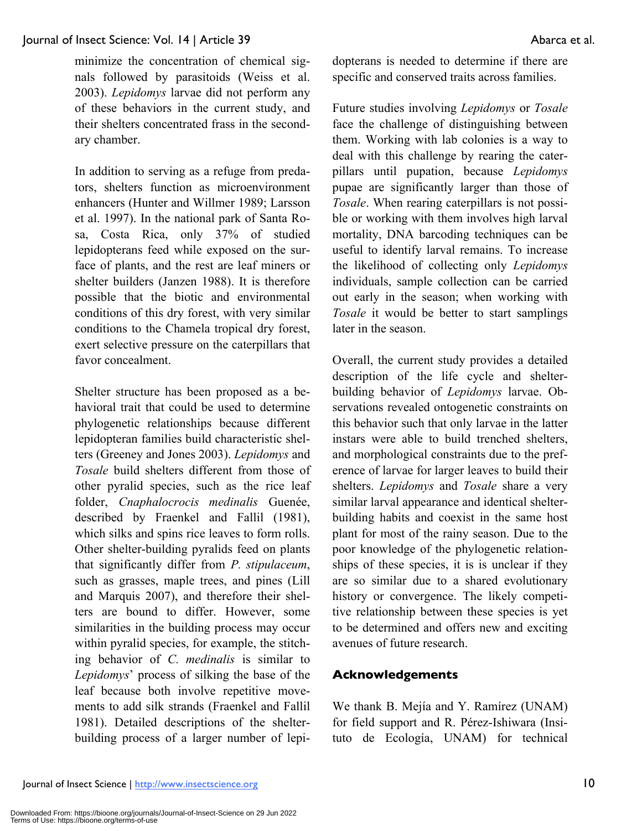minimize the concentration of chemical signals followed by parasitoids (Weiss et al. 2003). *Lepidomys* larvae did not perform any of these behaviors in the current study, and their shelters concentrated frass in the secondary chamber.

In addition to serving as a refuge from predators, shelters function as microenvironment enhancers (Hunter and Willmer 1989; Larsson et al. 1997). In the national park of Santa Rosa, Costa Rica, only 37% of studied lepidopterans feed while exposed on the surface of plants, and the rest are leaf miners or shelter builders (Janzen 1988). It is therefore possible that the biotic and environmental conditions of this dry forest, with very similar conditions to the Chamela tropical dry forest, exert selective pressure on the caterpillars that favor concealment.

Shelter structure has been proposed as a behavioral trait that could be used to determine phylogenetic relationships because different lepidopteran families build characteristic shelters (Greeney and Jones 2003). *Lepidomys* and *Tosale* build shelters different from those of other pyralid species, such as the rice leaf folder, *Cnaphalocrocis medinalis* Guenée, described by Fraenkel and Fallil (1981), which silks and spins rice leaves to form rolls. Other shelter-building pyralids feed on plants that significantly differ from *P. stipulaceum*, such as grasses, maple trees, and pines (Lill and Marquis 2007), and therefore their shelters are bound to differ. However, some similarities in the building process may occur within pyralid species, for example, the stitching behavior of *C. medinalis* is similar to *Lepidomys*' process of silking the base of the leaf because both involve repetitive movements to add silk strands (Fraenkel and Fallil 1981). Detailed descriptions of the shelterbuilding process of a larger number of lepidopterans is needed to determine if there are specific and conserved traits across families.

Future studies involving *Lepidomys* or *Tosale* face the challenge of distinguishing between them. Working with lab colonies is a way to deal with this challenge by rearing the caterpillars until pupation, because *Lepidomys* pupae are significantly larger than those of *Tosale*. When rearing caterpillars is not possible or working with them involves high larval mortality, DNA barcoding techniques can be useful to identify larval remains. To increase the likelihood of collecting only *Lepidomys* individuals, sample collection can be carried out early in the season; when working with *Tosale* it would be better to start samplings later in the season.

Overall, the current study provides a detailed description of the life cycle and shelterbuilding behavior of *Lepidomys* larvae. Observations revealed ontogenetic constraints on this behavior such that only larvae in the latter instars were able to build trenched shelters, and morphological constraints due to the preference of larvae for larger leaves to build their shelters. *Lepidomys* and *Tosale* share a very similar larval appearance and identical shelterbuilding habits and coexist in the same host plant for most of the rainy season. Due to the poor knowledge of the phylogenetic relationships of these species, it is is unclear if they are so similar due to a shared evolutionary history or convergence. The likely competitive relationship between these species is yet to be determined and offers new and exciting avenues of future research.

# **Acknowledgements**

We thank B. Mejía and Y. Ramírez (UNAM) for field support and R. Pérez-Ishiwara (Insituto de Ecología, UNAM) for technical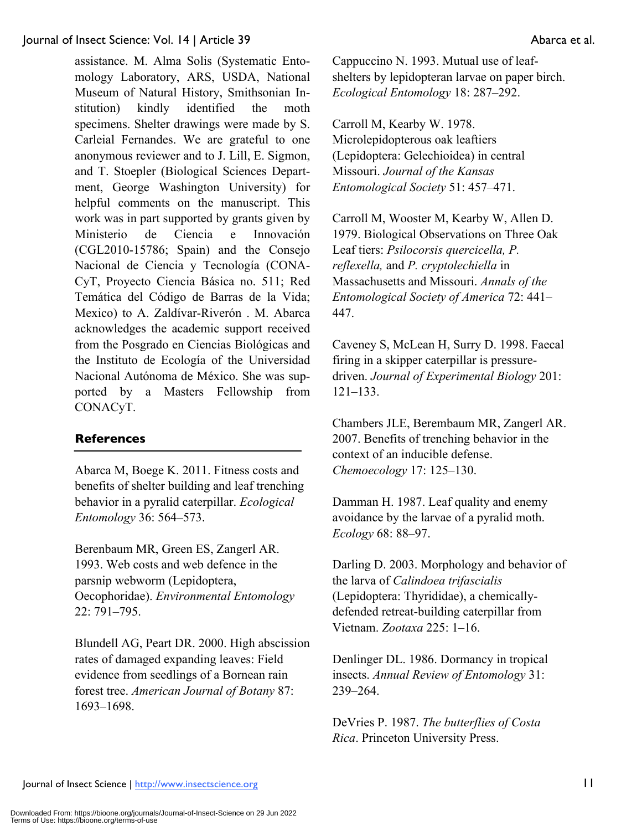assistance. M. Alma Solis (Systematic Entomology Laboratory, ARS, USDA, National Museum of Natural History, Smithsonian Institution) kindly identified the moth specimens. Shelter drawings were made by S. Carleial Fernandes. We are grateful to one anonymous reviewer and to J. Lill, E. Sigmon, and T. Stoepler (Biological Sciences Department, George Washington University) for helpful comments on the manuscript. This work was in part supported by grants given by Ministerio de Ciencia e Innovación (CGL2010-15786; Spain) and the Consejo Nacional de Ciencia y Tecnología (CONA-CyT, Proyecto Ciencia Básica no. 511; Red Temática del Código de Barras de la Vida; Mexico) to A. Zaldívar-Riverón . M. Abarca acknowledges the academic support received from the Posgrado en Ciencias Biológicas and the Instituto de Ecología of the Universidad Nacional Autónoma de México. She was supported by a Masters Fellowship from CONACyT.

# **References**

Abarca M, Boege K. 2011. Fitness costs and benefits of shelter building and leaf trenching behavior in a pyralid caterpillar. *Ecological Entomology* 36: 564–573.

Berenbaum MR, Green ES, Zangerl AR. 1993. Web costs and web defence in the parsnip webworm (Lepidoptera, Oecophoridae). *Environmental Entomology* 22: 791–795.

Blundell AG, Peart DR. 2000. High abscission rates of damaged expanding leaves: Field evidence from seedlings of a Bornean rain forest tree. *American Journal of Botany* 87: 1693–1698.

Cappuccino N. 1993. Mutual use of leafshelters by lepidopteran larvae on paper birch. *Ecological Entomology* 18: 287–292.

Carroll M, Kearby W. 1978. Microlepidopterous oak leaftiers (Lepidoptera: Gelechioidea) in central Missouri. *Journal of the Kansas Entomological Society* 51: 457–471.

Carroll M, Wooster M, Kearby W, Allen D. 1979. Biological Observations on Three Oak Leaf tiers: *Psilocorsis quercicella, P. reflexella,* and *P. cryptolechiella* in Massachusetts and Missouri. *Annals of the Entomological Society of America* 72: 441– 447.

Caveney S, McLean H, Surry D. 1998. Faecal firing in a skipper caterpillar is pressuredriven. *Journal of Experimental Biology* 201: 121–133.

Chambers JLE, Berembaum MR, Zangerl AR. 2007. Benefits of trenching behavior in the context of an inducible defense. *Chemoecology* 17: 125–130.

Damman H. 1987. Leaf quality and enemy avoidance by the larvae of a pyralid moth. *Ecology* 68: 88–97.

Darling D. 2003. Morphology and behavior of the larva of *Calindoea trifascialis* (Lepidoptera: Thyrididae), a chemicallydefended retreat-building caterpillar from Vietnam. *Zootaxa* 225: 1–16.

Denlinger DL. 1986. Dormancy in tropical insects. *Annual Review of Entomology* 31: 239–264.

DeVries P. 1987. *The butterflies of Costa Rica*. Princeton University Press.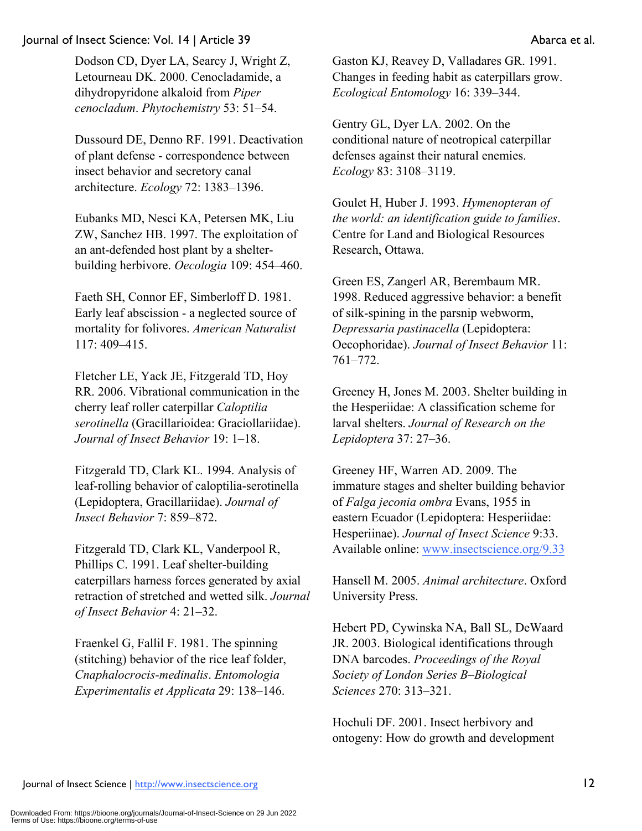Dodson CD, Dyer LA, Searcy J, Wright Z, Letourneau DK. 2000. Cenocladamide, a dihydropyridone alkaloid from *Piper cenocladum*. *Phytochemistry* 53: 51–54.

Dussourd DE, Denno RF. 1991. Deactivation of plant defense - correspondence between insect behavior and secretory canal architecture. *Ecology* 72: 1383–1396.

Eubanks MD, Nesci KA, Petersen MK, Liu ZW, Sanchez HB. 1997. The exploitation of an ant-defended host plant by a shelterbuilding herbivore. *Oecologia* 109: 454–460.

Faeth SH, Connor EF, Simberloff D. 1981. Early leaf abscission - a neglected source of mortality for folivores. *American Naturalist* 117: 409–415.

Fletcher LE, Yack JE, Fitzgerald TD, Hoy RR. 2006. Vibrational communication in the cherry leaf roller caterpillar *Caloptilia serotinella* (Gracillarioidea: Graciollariidae). *Journal of Insect Behavior* 19: 1–18.

Fitzgerald TD, Clark KL. 1994. Analysis of leaf-rolling behavior of caloptilia-serotinella (Lepidoptera, Gracillariidae). *Journal of Insect Behavior* 7: 859–872.

Fitzgerald TD, Clark KL, Vanderpool R, Phillips C. 1991. Leaf shelter-building caterpillars harness forces generated by axial retraction of stretched and wetted silk. *Journal of Insect Behavior* 4: 21–32.

Fraenkel G, Fallil F. 1981. The spinning (stitching) behavior of the rice leaf folder, *Cnaphalocrocis-medinalis*. *Entomologia Experimentalis et Applicata* 29: 138–146.

Gaston KJ, Reavey D, Valladares GR. 1991. Changes in feeding habit as caterpillars grow. *Ecological Entomology* 16: 339–344.

Gentry GL, Dyer LA. 2002. On the conditional nature of neotropical caterpillar defenses against their natural enemies. *Ecology* 83: 3108–3119.

Goulet H, Huber J. 1993. *Hymenopteran of the world: an identification guide to families*. Centre for Land and Biological Resources Research, Ottawa.

Green ES, Zangerl AR, Berembaum MR. 1998. Reduced aggressive behavior: a benefit of silk-spining in the parsnip webworm, *Depressaria pastinacella* (Lepidoptera: Oecophoridae). *Journal of Insect Behavior* 11: 761–772.

Greeney H, Jones M. 2003. Shelter building in the Hesperiidae: A classification scheme for larval shelters. *Journal of Research on the Lepidoptera* 37: 27–36.

Greeney HF, Warren AD. 2009. The immature stages and shelter building behavior of *Falga jeconia ombra* Evans, 1955 in eastern Ecuador (Lepidoptera: Hesperiidae: Hesperiinae). *Journal of Insect Science* 9:33. Available online: www.insectscience.org/9.33

Hansell M. 2005. *Animal architecture*. Oxford University Press.

Hebert PD, Cywinska NA, Ball SL, DeWaard JR. 2003. Biological identifications through DNA barcodes. *Proceedings of the Royal Society of London Series B–Biological Sciences* 270: 313–321.

Hochuli DF. 2001. Insect herbivory and ontogeny: How do growth and development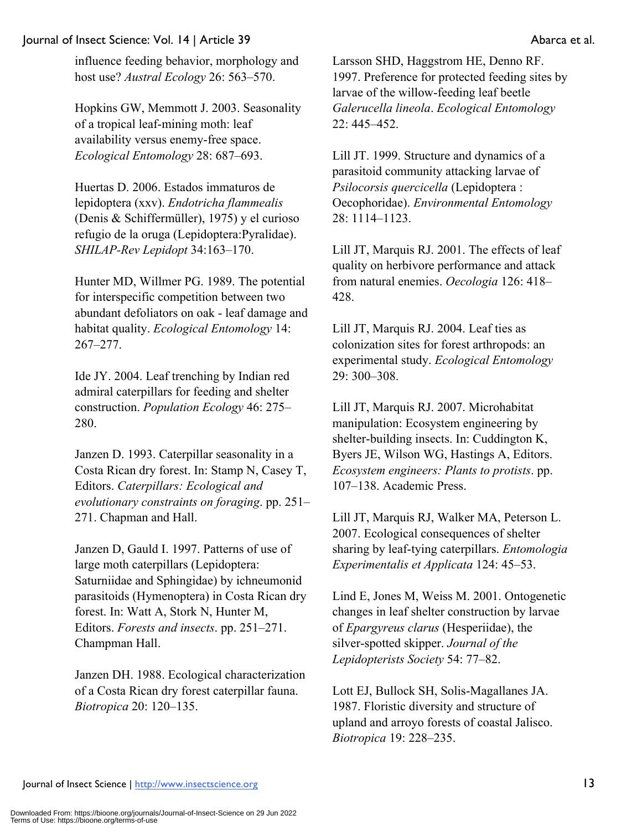influence feeding behavior, morphology and host use? *Austral Ecology* 26: 563–570.

Hopkins GW, Memmott J. 2003. Seasonality of a tropical leaf-mining moth: leaf availability versus enemy-free space. *Ecological Entomology* 28: 687–693.

Huertas D. 2006. Estados immaturos de lepidoptera (xxv). *Endotricha flammealis* (Denis & Schiffermüller), 1975) y el curioso refugio de la oruga (Lepidoptera:Pyralidae). *SHILAP-Rev Lepidopt* 34:163–170.

Hunter MD, Willmer PG. 1989. The potential for interspecific competition between two abundant defoliators on oak - leaf damage and habitat quality. *Ecological Entomology* 14: 267–277.

Ide JY. 2004. Leaf trenching by Indian red admiral caterpillars for feeding and shelter construction. *Population Ecology* 46: 275– 280.

Janzen D. 1993. Caterpillar seasonality in a Costa Rican dry forest. In: Stamp N, Casey T, Editors. *Caterpillars: Ecological and evolutionary constraints on foraging*. pp. 251– 271. Chapman and Hall.

Janzen D, Gauld I. 1997. Patterns of use of large moth caterpillars (Lepidoptera: Saturniidae and Sphingidae) by ichneumonid parasitoids (Hymenoptera) in Costa Rican dry forest. In: Watt A, Stork N, Hunter M, Editors. *Forests and insects*. pp. 251–271. Champman Hall.

Janzen DH. 1988. Ecological characterization of a Costa Rican dry forest caterpillar fauna. *Biotropica* 20: 120–135.

Larsson SHD, Haggstrom HE, Denno RF. 1997. Preference for protected feeding sites by larvae of the willow-feeding leaf beetle *Galerucella lineola*. *Ecological Entomology* 22: 445–452.

Lill JT. 1999. Structure and dynamics of a parasitoid community attacking larvae of *Psilocorsis quercicella* (Lepidoptera : Oecophoridae). *Environmental Entomology* 28: 1114–1123.

Lill JT, Marquis RJ. 2001. The effects of leaf quality on herbivore performance and attack from natural enemies. *Oecologia* 126: 418– 428.

Lill JT, Marquis RJ. 2004. Leaf ties as colonization sites for forest arthropods: an experimental study. *Ecological Entomology* 29: 300–308.

Lill JT, Marquis RJ. 2007. Microhabitat manipulation: Ecosystem engineering by shelter-building insects. In: Cuddington K, Byers JE, Wilson WG, Hastings A, Editors. *Ecosystem engineers: Plants to protists*. pp. 107–138. Academic Press.

Lill JT, Marquis RJ, Walker MA, Peterson L. 2007. Ecological consequences of shelter sharing by leaf-tying caterpillars. *Entomologia Experimentalis et Applicata* 124: 45–53.

Lind E, Jones M, Weiss M. 2001. Ontogenetic changes in leaf shelter construction by larvae of *Epargyreus clarus* (Hesperiidae), the silver-spotted skipper. *Journal of the Lepidopterists Society* 54: 77–82.

Lott EJ, Bullock SH, Solis-Magallanes JA. 1987. Floristic diversity and structure of upland and arroyo forests of coastal Jalisco. *Biotropica* 19: 228–235.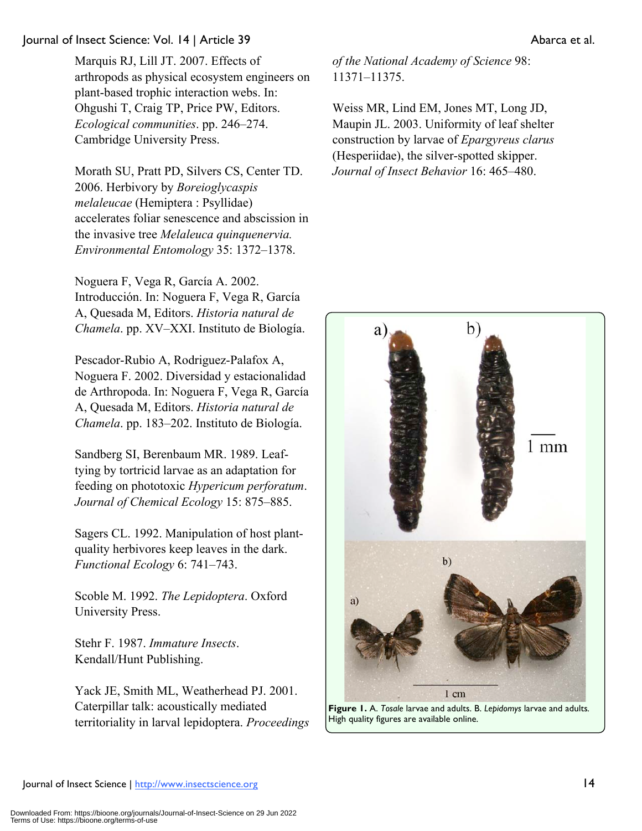Morath SU, Pratt PD, Silvers CS, Center TD. 2006. Herbivory by *Boreioglycaspis melaleucae* (Hemiptera : Psyllidae) accelerates foliar senescence and abscission in the invasive tree *Melaleuca quinquenervia. Environmental Entomology* 35: 1372–1378.

Noguera F, Vega R, García A. 2002. Introducción. In: Noguera F, Vega R, García A, Quesada M, Editors. *Historia natural de Chamela*. pp. XV–XXI. Instituto de Biología.

Pescador-Rubio A, Rodriguez-Palafox A, Noguera F. 2002. Diversidad y estacionalidad de Arthropoda. In: Noguera F, Vega R, García A, Quesada M, Editors. *Historia natural de Chamela*. pp. 183–202. Instituto de Biología.

Sandberg SI, Berenbaum MR. 1989. Leaftying by tortricid larvae as an adaptation for feeding on phototoxic *Hypericum perforatum*. *Journal of Chemical Ecology* 15: 875–885.

Sagers CL. 1992. Manipulation of host plantquality herbivores keep leaves in the dark. *Functional Ecology* 6: 741–743.

Scoble M. 1992. *The Lepidoptera*. Oxford University Press.

Stehr F. 1987. *Immature Insects*. Kendall/Hunt Publishing.

Yack JE, Smith ML, Weatherhead PJ. 2001. Caterpillar talk: acoustically mediated territoriality in larval lepidoptera. *Proceedings*  *of the National Academy of Science* 98: 11371–11375.

Weiss MR, Lind EM, Jones MT, Long JD, Maupin JL. 2003. Uniformity of leaf shelter construction by larvae of *Epargyreus clarus* (Hesperiidae), the silver-spotted skipper. *Journal of Insect Behavior* 16: 465–480.

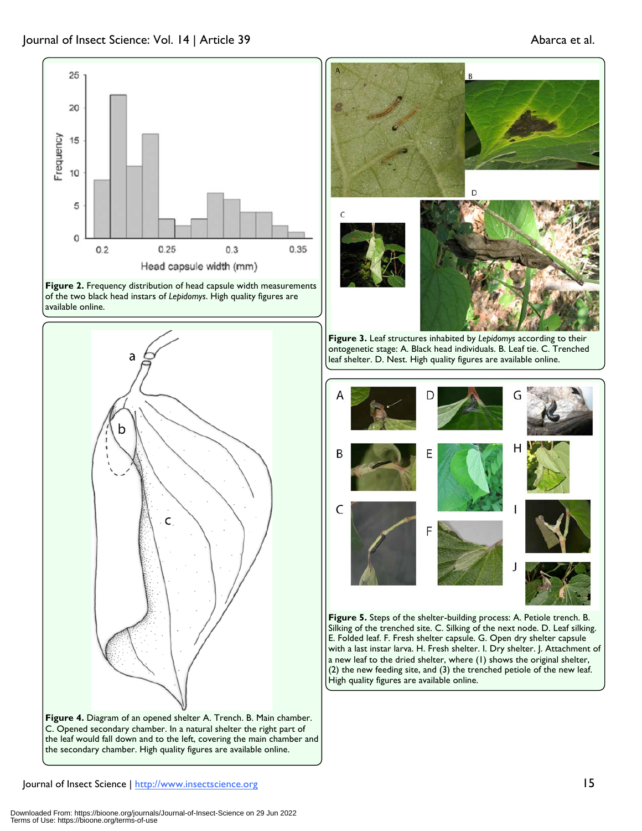

**Figure 2.** Frequency distribution of head capsule width measurements of the two black head instars of *Lepidomys*. High quality figures are available online.







B

**Figure 3.** Leaf structures inhabited by *Lepidomys* according to their ontogenetic stage: A. Black head individuals. B. Leaf tie. C. Trenched leaf shelter. D. Nest. High quality figures are available online.



**Figure 5.** Steps of the shelter-building process: A. Petiole trench. B. Silking of the trenched site. C. Silking of the next node. D. Leaf silking. E. Folded leaf. F. Fresh shelter capsule. G. Open dry shelter capsule with a last instar larva. H. Fresh shelter. I. Dry shelter. J. Attachment of a new leaf to the dried shelter, where (1) shows the original shelter, (2) the new feeding site, and (3) the trenched petiole of the new leaf. High quality figures are available online.

Journal of Insect Science | http://www.insectscience.org 15